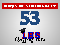### DAYS OF SCHOOL LEFT



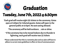

# Tuesday, June 7th, 2022 @ 6:30pm Graduation

\*Each grad will receive eight (8) tickets to the ceremony. Gates open at 5:30pm for ticketed guests. Gates will open to the general public at 6:15pm. No seat saving allowed.

\*The ceremony will be held outdoors…rain or shine.

\* If the ceremony has to be moved indoors due to thunder & lightning, each grad will receive two (2) tickets

\*Please understand that this is a tentative plan and our plan will have to adhere to current state guidelines in effect at time of commencement.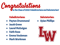

#### Valedictorians:

- **●** Payton Drummond
- **●** Jacob Greve
- **●** Laurel McGuigan
- **●** Faith Roos
- **●** Emma Veuleman
- **●** Mark Workman

#### Salutatorian:

**●** Syian Phillips

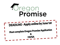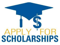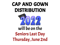# CAP AND GOWN DISTRIBUTION will be on the Seniors Last Day Thursday, June 2nd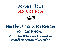## Do you still owe SENIOR FINES?



# Must be paid prior to receiving your cap & gown!

Contact Lisa Miller or check updated list posted by the finance office window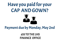# Have you paid for your CAP AND GOWN?



#### Payment due by Monday, May 2nd

\$35 TO THE LHS FINANCE OFFICE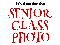#### It's time for the